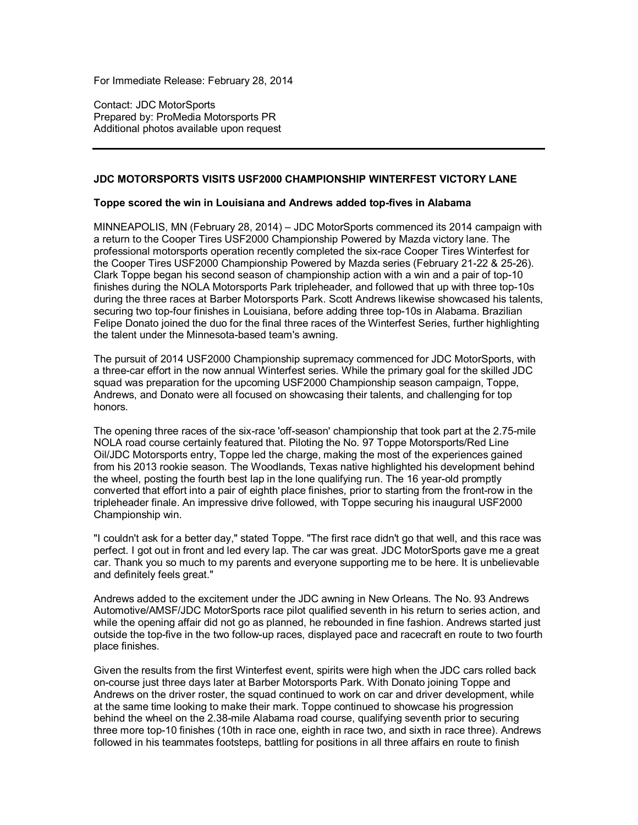For Immediate Release: February 28, 2014

Contact: JDC MotorSports Prepared by: ProMedia Motorsports PR Additional photos available upon request

### **JDC MOTORSPORTS VISITS USF2000 CHAMPIONSHIP WINTERFEST VICTORY LANE**

# **Toppe scored the win in Louisiana and Andrews added top-fives in Alabama**

MINNEAPOLIS, MN (February 28, 2014) – JDC MotorSports commenced its 2014 campaign with a return to the Cooper Tires USF2000 Championship Powered by Mazda victory lane. The professional motorsports operation recently completed the six-race Cooper Tires Winterfest for the Cooper Tires USF2000 Championship Powered by Mazda series (February 21-22 & 25-26). Clark Toppe began his second season of championship action with a win and a pair of top-10 finishes during the NOLA Motorsports Park tripleheader, and followed that up with three top-10s during the three races at Barber Motorsports Park. Scott Andrews likewise showcased his talents, securing two top-four finishes in Louisiana, before adding three top-10s in Alabama. Brazilian Felipe Donato joined the duo for the final three races of the Winterfest Series, further highlighting the talent under the Minnesota-based team's awning.

The pursuit of 2014 USF2000 Championship supremacy commenced for JDC MotorSports, with a three-car effort in the now annual Winterfest series. While the primary goal for the skilled JDC squad was preparation for the upcoming USF2000 Championship season campaign, Toppe, Andrews, and Donato were all focused on showcasing their talents, and challenging for top honors.

The opening three races of the six-race 'off-season' championship that took part at the 2.75-mile NOLA road course certainly featured that. Piloting the No. 97 Toppe Motorsports/Red Line Oil/JDC Motorsports entry, Toppe led the charge, making the most of the experiences gained from his 2013 rookie season. The Woodlands, Texas native highlighted his development behind the wheel, posting the fourth best lap in the lone qualifying run. The 16 year-old promptly converted that effort into a pair of eighth place finishes, prior to starting from the front-row in the tripleheader finale. An impressive drive followed, with Toppe securing his inaugural USF2000 Championship win.

"I couldn't ask for a better day," stated Toppe. "The first race didn't go that well, and this race was perfect. I got out in front and led every lap. The car was great. JDC MotorSports gave me a great car. Thank you so much to my parents and everyone supporting me to be here. It is unbelievable and definitely feels great."

Andrews added to the excitement under the JDC awning in New Orleans. The No. 93 Andrews Automotive/AMSF/JDC MotorSports race pilot qualified seventh in his return to series action, and while the opening affair did not go as planned, he rebounded in fine fashion. Andrews started just outside the top-five in the two follow-up races, displayed pace and racecraft en route to two fourth place finishes.

Given the results from the first Winterfest event, spirits were high when the JDC cars rolled back on-course just three days later at Barber Motorsports Park. With Donato joining Toppe and Andrews on the driver roster, the squad continued to work on car and driver development, while at the same time looking to make their mark. Toppe continued to showcase his progression behind the wheel on the 2.38-mile Alabama road course, qualifying seventh prior to securing three more top-10 finishes (10th in race one, eighth in race two, and sixth in race three). Andrews followed in his teammates footsteps, battling for positions in all three affairs en route to finish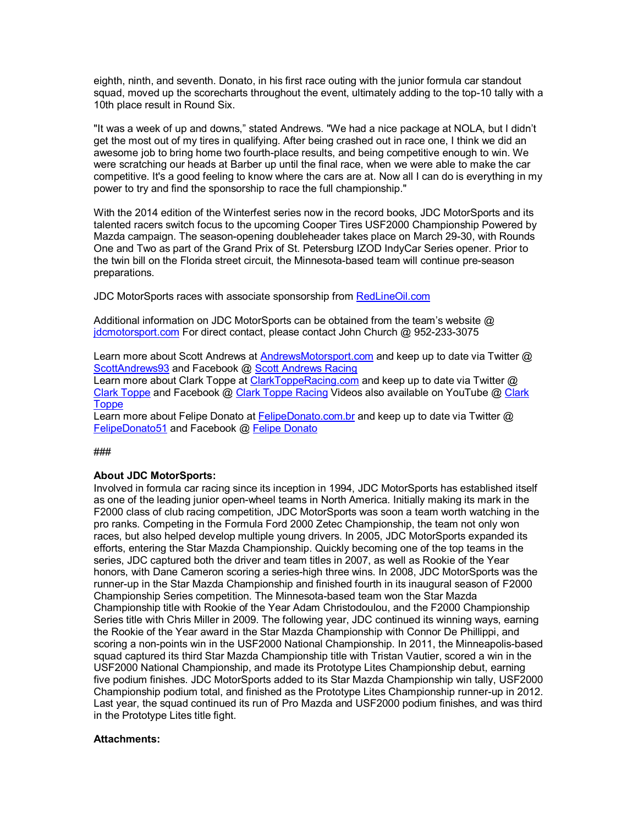eighth, ninth, and seventh. Donato, in his first race outing with the junior formula car standout squad, moved up the scorecharts throughout the event, ultimately adding to the top-10 tally with a 10th place result in Round Six.

"It was a week of up and downs," stated Andrews. "We had a nice package at NOLA, but I didn't get the most out of my tires in qualifying. After being crashed out in race one, I think we did an awesome job to bring home two fourth-place results, and being competitive enough to win. We were scratching our heads at Barber up until the final race, when we were able to make the car competitive. It's a good feeling to know where the cars are at. Now all I can do is everything in my power to try and find the sponsorship to race the full championship."

With the 2014 edition of the Winterfest series now in the record books, JDC MotorSports and its talented racers switch focus to the upcoming Cooper Tires USF2000 Championship Powered by Mazda campaign. The season-opening doubleheader takes place on March 29-30, with Rounds One and Two as part of the Grand Prix of St. Petersburg IZOD IndyCar Series opener. Prior to the twin bill on the Florida street circuit, the Minnesota-based team will continue pre-season preparations.

JDC MotorSports races with associate sponsorship from RedLineOil.com

Additional information on JDC MotorSports can be obtained from the team's website @ jdcmotorsport.com For direct contact, please contact John Church @ 952-233-3075

Learn more about Scott Andrews at AndrewsMotorsport.com and keep up to date via Twitter @ ScottAndrews93 and Facebook @ Scott Andrews Racing

Learn more about Clark Toppe at ClarkToppeRacing.com and keep up to date via Twitter @ Clark Toppe and Facebook @ Clark Toppe Racing Videos also available on YouTube @ Clark **Toppe** 

Learn more about Felipe Donato at FelipeDonato.com.br and keep up to date via Twitter @ FelipeDonato51 and Facebook @ Felipe Donato

# ###

# **About JDC MotorSports:**

Involved in formula car racing since its inception in 1994, JDC MotorSports has established itself as one of the leading junior open-wheel teams in North America. Initially making its mark in the F2000 class of club racing competition, JDC MotorSports was soon a team worth watching in the pro ranks. Competing in the Formula Ford 2000 Zetec Championship, the team not only won races, but also helped develop multiple young drivers. In 2005, JDC MotorSports expanded its efforts, entering the Star Mazda Championship. Quickly becoming one of the top teams in the series, JDC captured both the driver and team titles in 2007, as well as Rookie of the Year honors, with Dane Cameron scoring a series-high three wins. In 2008, JDC MotorSports was the runner-up in the Star Mazda Championship and finished fourth in its inaugural season of F2000 Championship Series competition. The Minnesota-based team won the Star Mazda Championship title with Rookie of the Year Adam Christodoulou, and the F2000 Championship Series title with Chris Miller in 2009. The following year, JDC continued its winning ways, earning the Rookie of the Year award in the Star Mazda Championship with Connor De Phillippi, and scoring a non-points win in the USF2000 National Championship. In 2011, the Minneapolis-based squad captured its third Star Mazda Championship title with Tristan Vautier, scored a win in the USF2000 National Championship, and made its Prototype Lites Championship debut, earning five podium finishes. JDC MotorSports added to its Star Mazda Championship win tally, USF2000 Championship podium total, and finished as the Prototype Lites Championship runner-up in 2012. Last year, the squad continued its run of Pro Mazda and USF2000 podium finishes, and was third in the Prototype Lites title fight.

# **Attachments:**